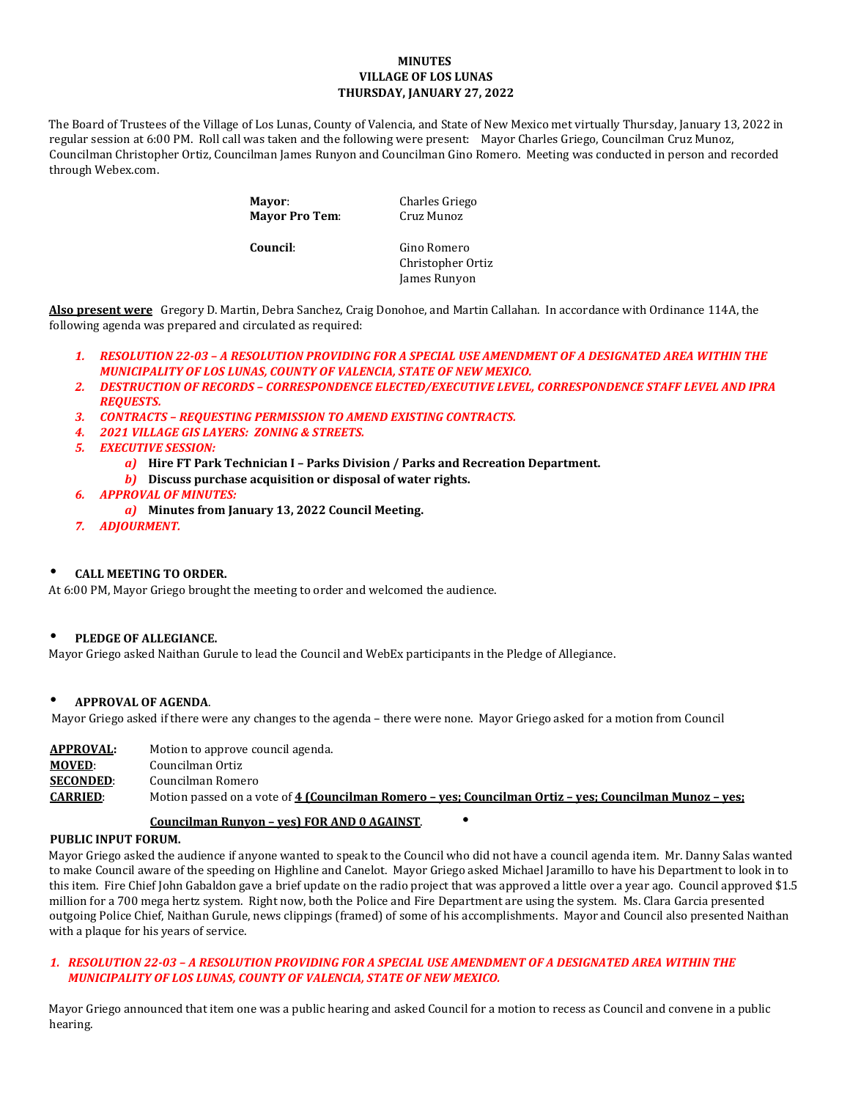## **MINUTES VILLAGE OF LOS LUNAS THURSDAY, JANUARY 27, 2022**

The Board of Trustees of the Village of Los Lunas, County of Valencia, and State of New Mexico met virtually Thursday, January 13, 2022 in regular session at 6:00 PM. Roll call was taken and the following were present: Mayor Charles Griego, Councilman Cruz Munoz, Councilman Christopher Ortiz, Councilman James Runyon and Councilman Gino Romero. Meeting was conducted in person and recorded through Webex.com.

> **Mayor:** Charles Griego<br> **Mayor Pro Tem:** Cruz Munoz **Mayor Pro Tem:**

**Council:** Gino Romero Christopher Ortiz James Runyon

**Also present were** Gregory D. Martin, Debra Sanchez, Craig Donohoe, and Martin Callahan. In accordance with Ordinance 114A, the following agenda was prepared and circulated as required:

- *1. RESOLUTION 22-03 – A RESOLUTION PROVIDING FOR A SPECIAL USE AMENDMENT OF A DESIGNATED AREA WITHIN THE MUNICIPALITY OF LOS LUNAS, COUNTY OF VALENCIA, STATE OF NEW MEXICO.*
- *2. DESTRUCTION OF RECORDS – CORRESPONDENCE ELECTED/EXECUTIVE LEVEL, CORRESPONDENCE STAFF LEVEL AND IPRA REQUESTS.*
- *3. CONTRACTS – REQUESTING PERMISSION TO AMEND EXISTING CONTRACTS.*
- *4. 2021 VILLAGE GIS LAYERS: ZONING & STREETS.*
- *5. EXECUTIVE SESSION:* 
	- *a)* **Hire FT Park Technician I – Parks Division / Parks and Recreation Department.**
	- *b)* **Discuss purchase acquisition or disposal of water rights.**
- *6. APPROVAL OF MINUTES:*
	- *a)* **Minutes from January 13, 2022 Council Meeting.**
- *7. ADJOURMENT.*

#### • **CALL MEETING TO ORDER.**

At 6:00 PM, Mayor Griego brought the meeting to order and welcomed the audience.

#### • **PLEDGE OF ALLEGIANCE.**

Mayor Griego asked Naithan Gurule to lead the Council and WebEx participants in the Pledge of Allegiance.

#### • **APPROVAL OF AGENDA**.

Mayor Griego asked if there were any changes to the agenda – there were none. Mayor Griego asked for a motion from Council

| APPROVAL:        | Motion to approve council agenda.                                                                      |
|------------------|--------------------------------------------------------------------------------------------------------|
| <b>MOVED:</b>    | Councilman Ortiz                                                                                       |
| <b>SECONDED:</b> | Councilman Romero                                                                                      |
| <b>CARRIED:</b>  | Motion passed on a vote of 4 (Councilman Romero – ves; Councilman Ortiz – ves; Councilman Munoz – ves; |
|                  |                                                                                                        |

#### **Councilman Runyon – yes) FOR AND 0 AGAINST**. •

#### **PUBLIC INPUT FORUM.**

Mayor Griego asked the audience if anyone wanted to speak to the Council who did not have a council agenda item. Mr. Danny Salas wanted to make Council aware of the speeding on Highline and Canelot. Mayor Griego asked Michael Jaramillo to have his Department to look in to this item. Fire Chief John Gabaldon gave a brief update on the radio project that was approved a little over a year ago. Council approved \$1.5 million for a 700 mega hertz system. Right now, both the Police and Fire Department are using the system. Ms. Clara Garcia presented outgoing Police Chief, Naithan Gurule, news clippings (framed) of some of his accomplishments. Mayor and Council also presented Naithan with a plaque for his years of service.

# *1. RESOLUTION 22-03 – A RESOLUTION PROVIDING FOR A SPECIAL USE AMENDMENT OF A DESIGNATED AREA WITHIN THE MUNICIPALITY OF LOS LUNAS, COUNTY OF VALENCIA, STATE OF NEW MEXICO.*

Mayor Griego announced that item one was a public hearing and asked Council for a motion to recess as Council and convene in a public hearing.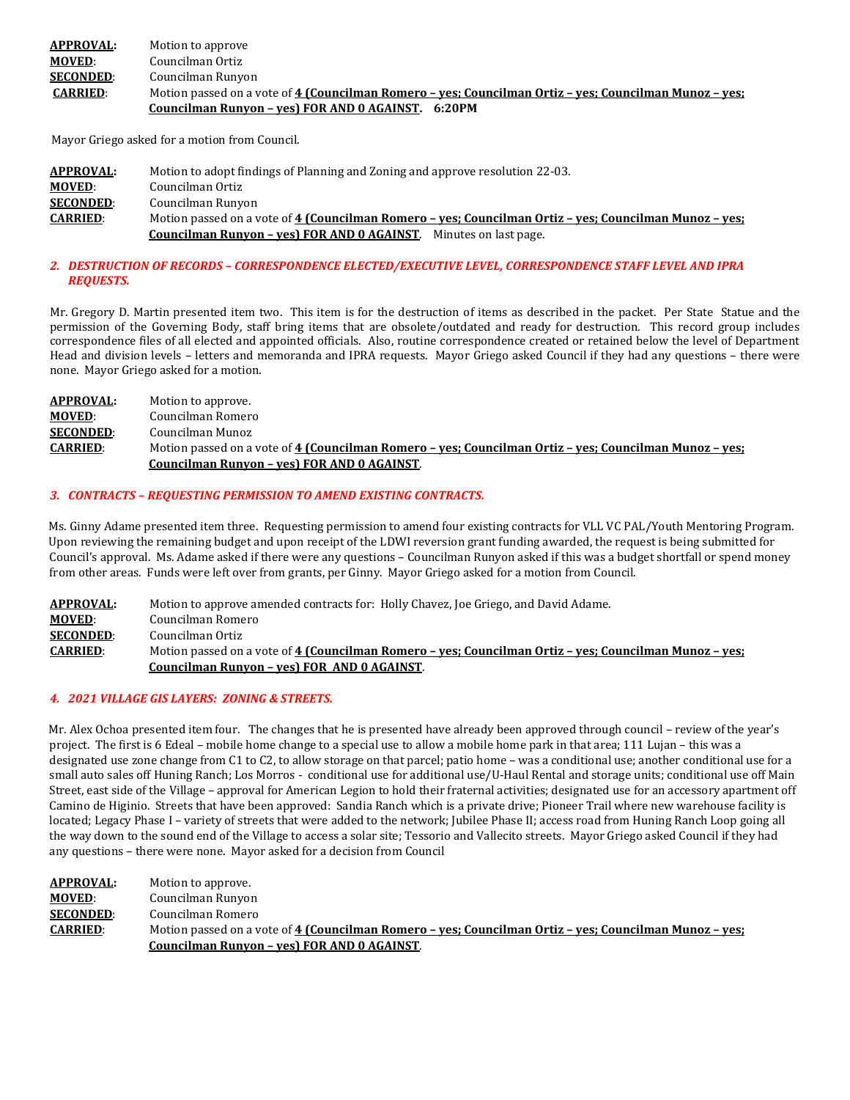| <b>APPROVAL:</b> | Motion to approve                                                                                      |
|------------------|--------------------------------------------------------------------------------------------------------|
| <b>MOVED:</b>    | Councilman Ortiz                                                                                       |
| <b>SECONDED:</b> | Councilman Runyon                                                                                      |
| <b>CARRIED:</b>  | Motion passed on a vote of 4 (Councilman Romero – ves; Councilman Ortiz – ves; Councilman Munoz – ves; |
|                  | Councilman Runyon - ves) FOR AND 0 AGAINST. 6:20PM                                                     |

Mayor Griego asked for a motion from Council.

| <b>APPROVAL:</b> | Motion to adopt findings of Planning and Zoning and approve resolution 22-03.                          |
|------------------|--------------------------------------------------------------------------------------------------------|
| <b>MOVED:</b>    | Councilman Ortiz                                                                                       |
| <b>SECONDED:</b> | Councilman Runyon                                                                                      |
| <b>CARRIED:</b>  | Motion passed on a vote of 4 (Councilman Romero – ves; Councilman Ortiz – ves; Councilman Munoz – ves; |
|                  | Councilman Runyon - yes) FOR AND 0 AGAINST.<br>Minutes on last page.                                   |

#### *2. DESTRUCTION OF RECORDS – CORRESPONDENCE ELECTED/EXECUTIVE LEVEL, CORRESPONDENCE STAFF LEVEL AND IPRA REQUESTS.*

Mr. Gregory D. Martin presented item two. This item is for the destruction of items as described in the packet. Per State Statue and the permission of the Governing Body, staff bring items that are obsolete/outdated and ready for destruction. This record group includes correspondence files of all elected and appointed officials. Also, routine correspondence created or retained below the level of Department Head and division levels – letters and memoranda and IPRA requests. Mayor Griego asked Council if they had any questions – there were none. Mayor Griego asked for a motion.

| APPROVAL:        | Motion to approve.                                                                                     |
|------------------|--------------------------------------------------------------------------------------------------------|
| <b>MOVED:</b>    | Councilman Romero                                                                                      |
| <b>SECONDED:</b> | Councilman Munoz                                                                                       |
| <b>CARRIED:</b>  | Motion passed on a vote of 4 (Councilman Romero – yes; Councilman Ortiz – yes; Councilman Munoz – yes; |
|                  | Councilman Runyon - yes) FOR AND 0 AGAINST.                                                            |

#### *3. CONTRACTS – REQUESTING PERMISSION TO AMEND EXISTING CONTRACTS.*

Ms. Ginny Adame presented item three. Requesting permission to amend four existing contracts for VLL VC PAL/Youth Mentoring Program. Upon reviewing the remaining budget and upon receipt of the LDWI reversion grant funding awarded, the request is being submitted for Council's approval. Ms. Adame asked if there were any questions – Councilman Runyon asked if this was a budget shortfall or spend money from other areas. Funds were left over from grants, per Ginny. Mayor Griego asked for a motion from Council.

| <b>APPROVAL:</b> | Motion to approve amended contracts for: Holly Chavez, Joe Griego, and David Adame.                    |
|------------------|--------------------------------------------------------------------------------------------------------|
| <b>MOVED:</b>    | Councilman Romero                                                                                      |
| <b>SECONDED:</b> | Councilman Ortiz                                                                                       |
| <b>CARRIED:</b>  | Motion passed on a vote of 4 (Councilman Romero - yes; Councilman Ortiz - yes; Councilman Munoz - yes; |
|                  | Councilman Runyon - yes) FOR AND 0 AGAINST.                                                            |

#### *4. 2021 VILLAGE GIS LAYERS: ZONING & STREETS.*

Mr. Alex Ochoa presented item four. The changes that he is presented have already been approved through council – review of the year's project. The first is 6 Edeal – mobile home change to a special use to allow a mobile home park in that area; 111 Lujan – this was a designated use zone change from C1 to C2, to allow storage on that parcel; patio home – was a conditional use; another conditional use for a small auto sales off Huning Ranch; Los Morros - conditional use for additional use/U-Haul Rental and storage units; conditional use off Main Street, east side of the Village – approval for American Legion to hold their fraternal activities; designated use for an accessory apartment off Camino de Higinio. Streets that have been approved: Sandia Ranch which is a private drive; Pioneer Trail where new warehouse facility is located; Legacy Phase I – variety of streets that were added to the network; Jubilee Phase II; access road from Huning Ranch Loop going all the way down to the sound end of the Village to access a solar site; Tessorio and Vallecito streets. Mayor Griego asked Council if they had any questions – there were none. Mayor asked for a decision from Council

| <b>APPROVAL:</b> | Motion to approve.                                                                                     |
|------------------|--------------------------------------------------------------------------------------------------------|
| <b>MOVED:</b>    | Councilman Runyon                                                                                      |
| <b>SECONDED:</b> | Councilman Romero                                                                                      |
| <b>CARRIED:</b>  | Motion passed on a vote of 4 (Councilman Romero – yes; Councilman Ortiz – yes; Councilman Munoz – yes; |
|                  | Councilman Runyon - yes) FOR AND 0 AGAINST.                                                            |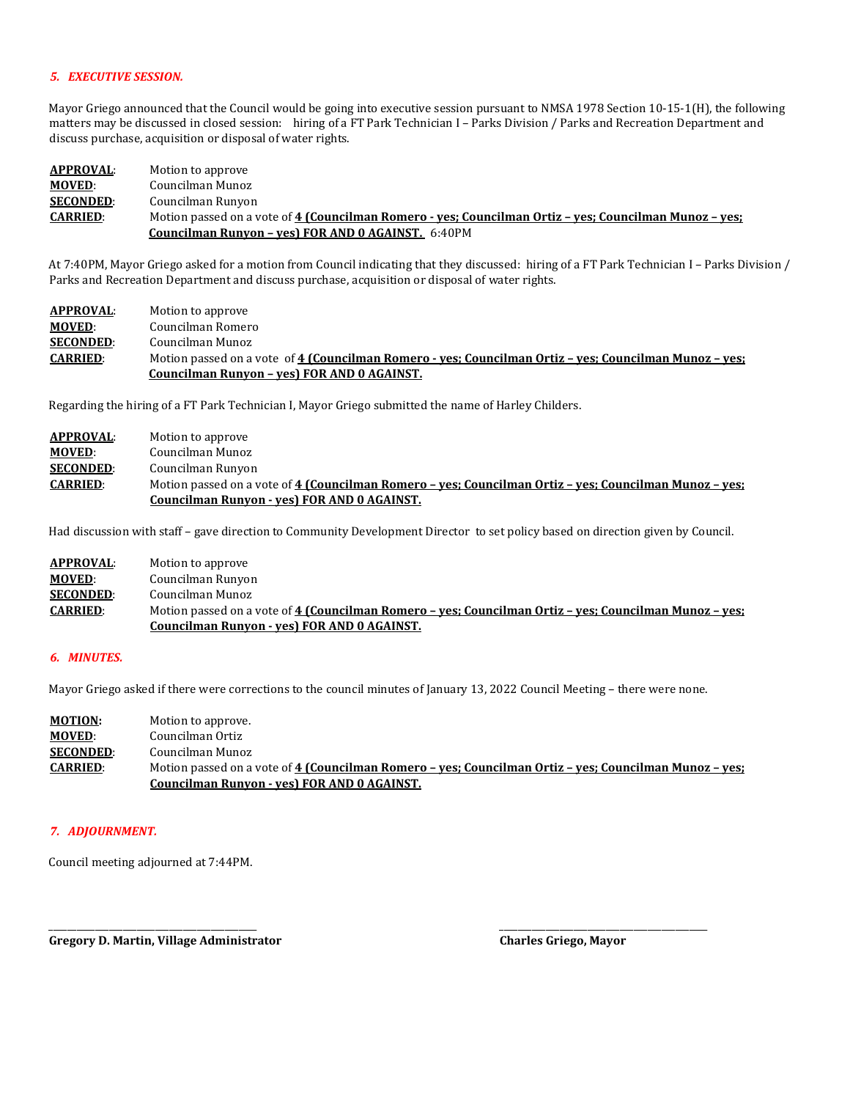#### *5. EXECUTIVE SESSION.*

Mayor Griego announced that the Council would be going into executive session pursuant to NMSA 1978 Section 10-15-1(H), the following matters may be discussed in closed session: hiring of a FT Park Technician I – Parks Division / Parks and Recreation Department and discuss purchase, acquisition or disposal of water rights.

| APPROVAL:        | Motion to approve                                                                                      |
|------------------|--------------------------------------------------------------------------------------------------------|
| <b>MOVED:</b>    | Councilman Munoz                                                                                       |
| <b>SECONDED:</b> | Councilman Runyon                                                                                      |
| <b>CARRIED:</b>  | Motion passed on a vote of 4 (Councilman Romero - ves: Councilman Ortiz - ves: Councilman Munoz - ves: |
|                  | <b>Councilman Runyon - ves) FOR AND 0 AGAINST.</b> 6:40PM                                              |

At 7:40PM, Mayor Griego asked for a motion from Council indicating that they discussed: hiring of a FT Park Technician I – Parks Division / Parks and Recreation Department and discuss purchase, acquisition or disposal of water rights.

| APPROVAL:        | Motion to approve                                                                                      |
|------------------|--------------------------------------------------------------------------------------------------------|
| <b>MOVED:</b>    | Councilman Romero                                                                                      |
| <b>SECONDED:</b> | Councilman Munoz                                                                                       |
| <b>CARRIED:</b>  | Motion passed on a vote of 4 (Councilman Romero - yes; Councilman Ortiz - yes; Councilman Munoz - yes; |
|                  | Councilman Runyon - yes) FOR AND 0 AGAINST.                                                            |

Regarding the hiring of a FT Park Technician I, Mayor Griego submitted the name of Harley Childers.

| <b>APPROVAL:</b> | Motion to approve                                                                                      |
|------------------|--------------------------------------------------------------------------------------------------------|
| <b>MOVED:</b>    | Councilman Munoz                                                                                       |
| <b>SECONDED:</b> | Councilman Runyon                                                                                      |
| <b>CARRIED:</b>  | Motion passed on a vote of 4 (Councilman Romero - yes; Councilman Ortiz - yes; Councilman Munoz - yes; |
|                  | Councilman Runyon - yes) FOR AND 0 AGAINST.                                                            |

Had discussion with staff – gave direction to Community Development Director to set policy based on direction given by Council.

| <b>APPROVAL:</b> | Motion to approve                                                                                      |
|------------------|--------------------------------------------------------------------------------------------------------|
| <b>MOVED:</b>    | Councilman Runyon                                                                                      |
| <b>SECONDED:</b> | Councilman Munoz                                                                                       |
| <b>CARRIED:</b>  | Motion passed on a vote of 4 (Councilman Romero - yes: Councilman Ortiz - yes: Councilman Munoz - yes: |
|                  | Councilman Runyon - yes) FOR AND 0 AGAINST.                                                            |

#### *6. MINUTES.*

Mayor Griego asked if there were corrections to the council minutes of January 13, 2022 Council Meeting – there were none.

| <b>MOTION:</b>   | Motion to approve.                                                                                     |
|------------------|--------------------------------------------------------------------------------------------------------|
| <b>MOVED:</b>    | Councilman Ortiz                                                                                       |
| <b>SECONDED:</b> | Councilman Munoz                                                                                       |
| <b>CARRIED:</b>  | Motion passed on a vote of 4 (Councilman Romero – yes; Councilman Ortiz – yes; Councilman Munoz – yes; |
|                  | Councilman Runyon - yes) FOR AND 0 AGAINST.                                                            |

#### *7. ADJOURNMENT.*

Council meeting adjourned at 7:44PM.

\_\_\_\_\_\_\_\_\_\_\_\_\_\_\_\_\_\_\_\_\_\_\_\_\_\_\_\_\_\_\_\_\_\_\_\_\_\_\_\_\_\_\_\_\_ \_\_\_\_\_\_\_\_\_\_\_\_\_\_\_\_\_\_\_\_\_\_\_\_\_\_\_\_\_\_\_\_\_\_\_\_\_\_\_\_\_\_\_\_\_ **Gregory D. Martin, Village Administrator Charles Griego, Mayor**